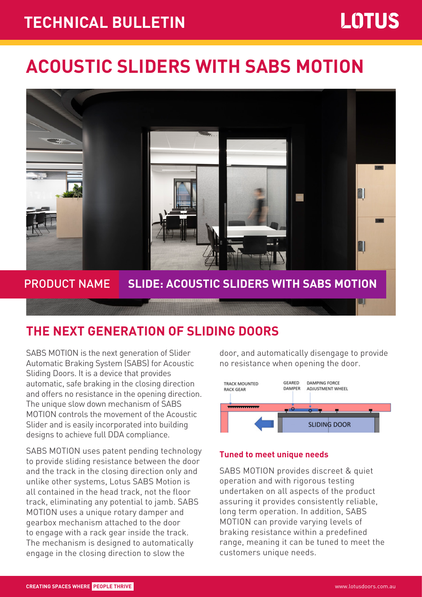# **TECHNICAL BULLETIN** Page 1 of 2 **TECHNICAL BULLETIN**

# **ACOUSTIC SLIDERS WITH SABS MOTION**



## **THE NEXT GENERATION OF SLIDING DOORS**

SABS MOTION is the next generation of Slider Automatic Braking System (SABS) for Acoustic Sliding Doors. It is a device that provides automatic, safe braking in the closing direction and offers no resistance in the opening direction. The unique slow down mechanism of SABS MOTION controls the movement of the Acoustic Slider and is easily incorporated into building designs to achieve full DDA compliance.

SABS MOTION uses patent pending technology to provide sliding resistance between the door and the track in the closing direction only and unlike other systems, Lotus SABS Motion is all contained in the head track, not the floor track, eliminating any potential to jamb. SABS MOTION uses a unique rotary damper and gearbox mechanism attached to the door to engage with a rack gear inside the track. The mechanism is designed to automatically engage in the closing direction to slow the

door, and automatically disengage to provide no resistance when opening the door.



### **Tuned to meet unique needs**

SABS MOTION provides discreet & quiet operation and with rigorous testing undertaken on all aspects of the product assuring it provides consistently reliable, long term operation. In addition, SABS MOTION can provide varying levels of braking resistance within a predefined range, meaning it can be tuned to meet the customers unique needs.

M